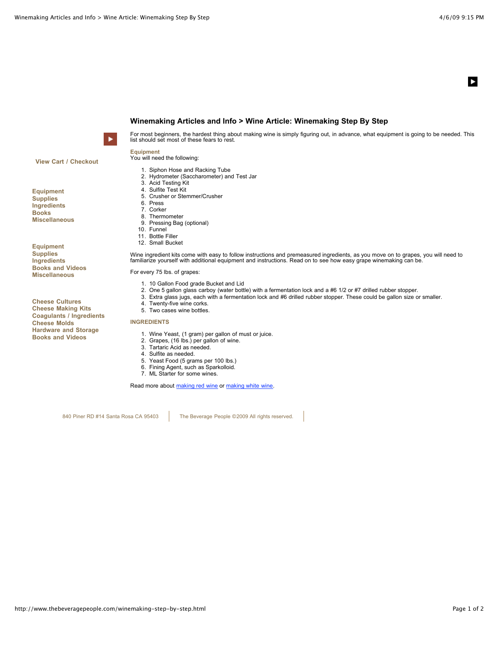$\blacktriangleright$ 



**Winemaking Articles and Info > Wine Article: Winemaking Step By Step**



For most beginners, the hardest thing about making wine is simply figuring out, in advance, what equipment is going to be needed. This list should set most of these fears to rest.

**View Cart / Checkout**

**Equipment Supplies Ingredients Books Miscellaneous**

**Equipment Supplies Ingredients Books and Videos Miscellaneous**

**Cheese Cultures Cheese Making Kits Coagulants / Ingredients Cheese Molds Hardware and Storage Books and Videos**

**Equipment** You will need the following:

- 1. Siphon Hose and Racking Tube
- 2. Hydrometer (Saccharometer) and Test Jar
- 3. Acid Testing Kit
- 4. Sulfite Test Kit
- 5. Crusher or Stemmer/Crusher
- 6. Press
- 7. Corker
- 8. Thermometer 9. Pressing Bag (optional)
- 10. Funnel
- 11. Bottle Filler
- 12. Small Bucket

Wine ingredient kits come with easy to follow instructions and premeasured ingredients, as you move on to grapes, you will need to<br>familiarize yourself with additional equipment and instructions. Read on to see how easy gr

For every 75 lbs. of grapes:

- 1. 10 Gallon Food grade Bucket and Lid
- 2. One 5 gallon glass carboy (water bottle) with a fermentation lock and a #6 1/2 or #7 drilled rubber stopper.
- 3. Extra glass jugs, each with a fermentation lock and #6 drilled rubber stopper. These could be gallon size or smaller.
- 4. Twenty-five wine corks.
- 5. Two cases wine bottles.

**INGREDIENTS**

- 1. Wine Yeast, (1 gram) per gallon of must or juice.
- 2. Grapes, (16 lbs.) per gallon of wine.
- 3. Tartaric Acid as needed.
- 4. Sulfite as needed.
- 5. Yeast Food (5 grams per 100 lbs.)
- 6. Fining Agent, such as Sparkolloid.
- 7. ML Starter for some wines.

Read more about [making red wine](http://www.thebeveragepeople.com/red-winemaking.html) or [making white wine](http://www.thebeveragepeople.com/white-winemaking.html).

840 Piner RD #14 Santa Rosa CA 95403 | The Beverage People ©2009 All rights reserved.